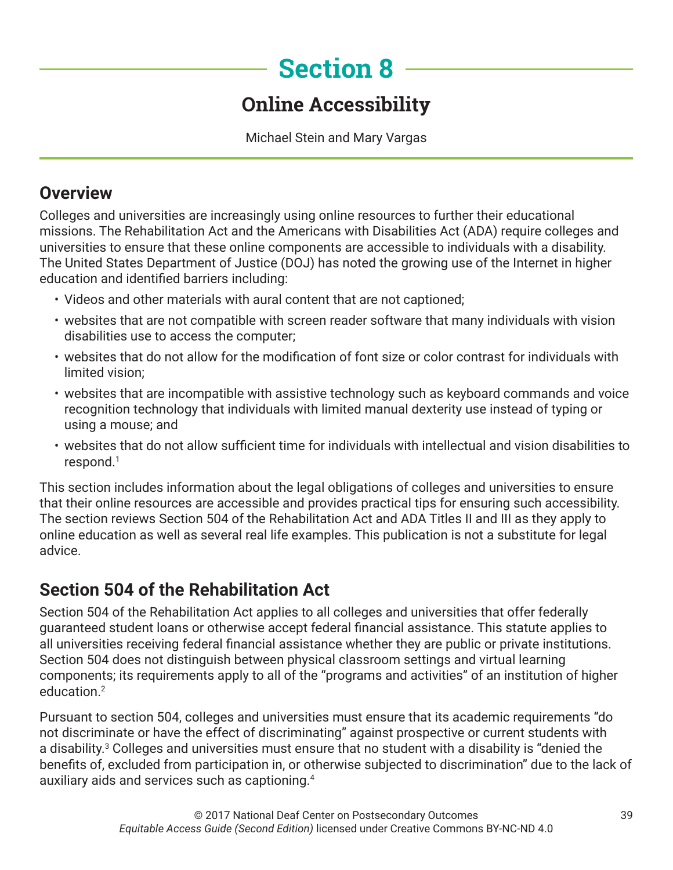# **Section 8**

## **Online Accessibility**

Michael Stein and Mary Vargas

#### **Overview**

Colleges and universities are increasingly using online resources to further their educational missions. The Rehabilitation Act and the Americans with Disabilities Act (ADA) require colleges and universities to ensure that these online components are accessible to individuals with a disability. The United States Department of Justice (DOJ) has noted the growing use of the Internet in higher education and identified barriers including:

- Videos and other materials with aural content that are not captioned;
- websites that are not compatible with screen reader software that many individuals with vision disabilities use to access the computer;
- websites that do not allow for the modification of font size or color contrast for individuals with limited vision;
- websites that are incompatible with assistive technology such as keyboard commands and voice recognition technology that individuals with limited manual dexterity use instead of typing or using a mouse; and
- websites that do not allow sufficient time for individuals with intellectual and vision disabilities to respond.1

This section includes information about the legal obligations of colleges and universities to ensure that their online resources are accessible and provides practical tips for ensuring such accessibility. The section reviews Section 504 of the Rehabilitation Act and ADA Titles II and III as they apply to online education as well as several real life examples. This publication is not a substitute for legal advice.

## **Section 504 of the Rehabilitation Act**

Section 504 of the Rehabilitation Act applies to all colleges and universities that offer federally guaranteed student loans or otherwise accept federal financial assistance. This statute applies to all universities receiving federal financial assistance whether they are public or private institutions. Section 504 does not distinguish between physical classroom settings and virtual learning components; its requirements apply to all of the "programs and activities" of an institution of higher education<sup>2</sup>

Pursuant to section 504, colleges and universities must ensure that its academic requirements "do not discriminate or have the effect of discriminating" against prospective or current students with a disability.<sup>3</sup> Colleges and universities must ensure that no student with a disability is "denied the benefits of, excluded from participation in, or otherwise subjected to discrimination" due to the lack of auxiliary aids and services such as captioning.<sup>4</sup>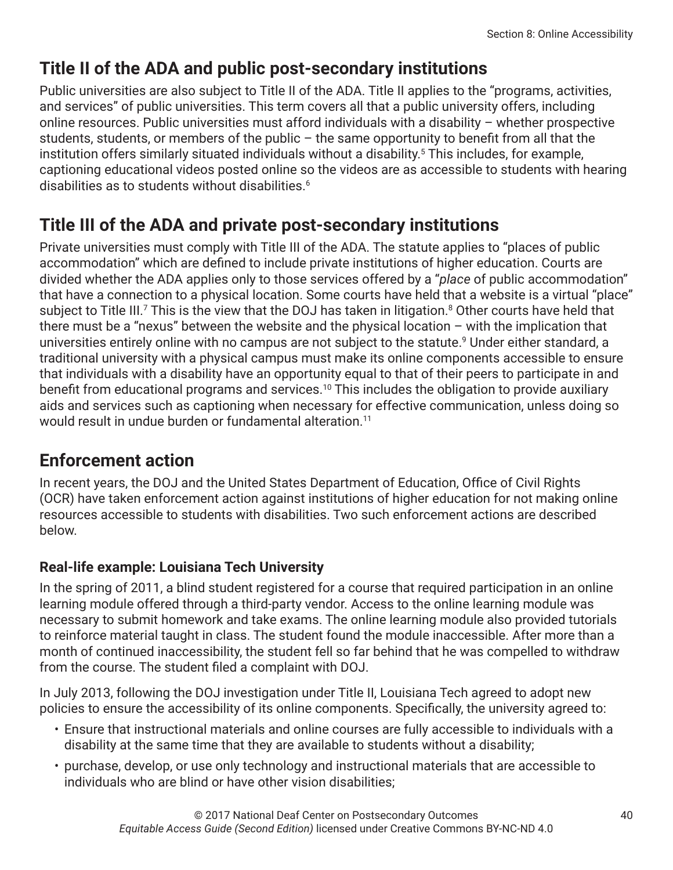## **Title II of the ADA and public post-secondary institutions**

Public universities are also subject to Title II of the ADA. Title II applies to the "programs, activities, and services" of public universities. This term covers all that a public university offers, including online resources. Public universities must afford individuals with a disability – whether prospective students, students, or members of the public – the same opportunity to benefit from all that the institution offers similarly situated individuals without a disability.5 This includes, for example, captioning educational videos posted online so the videos are as accessible to students with hearing disabilities as to students without disabilities.<sup>6</sup>

### **Title III of the ADA and private post-secondary institutions**

Private universities must comply with Title III of the ADA. The statute applies to "places of public accommodation" which are defined to include private institutions of higher education. Courts are divided whether the ADA applies only to those services offered by a "*place* of public accommodation" that have a connection to a physical location. Some courts have held that a website is a virtual "place" subject to Title III.<sup>7</sup> This is the view that the DOJ has taken in litigation.<sup>8</sup> Other courts have held that there must be a "nexus" between the website and the physical location – with the implication that universities entirely online with no campus are not subject to the statute. $^9$  Under either standard, a traditional university with a physical campus must make its online components accessible to ensure that individuals with a disability have an opportunity equal to that of their peers to participate in and benefit from educational programs and services.<sup>10</sup> This includes the obligation to provide auxiliary aids and services such as captioning when necessary for effective communication, unless doing so would result in undue burden or fundamental alteration.<sup>11</sup>

#### **Enforcement action**

In recent years, the DOJ and the United States Department of Education, Office of Civil Rights (OCR) have taken enforcement action against institutions of higher education for not making online resources accessible to students with disabilities. Two such enforcement actions are described below.

#### **Real-life example: Louisiana Tech University**

In the spring of 2011, a blind student registered for a course that required participation in an online learning module offered through a third-party vendor. Access to the online learning module was necessary to submit homework and take exams. The online learning module also provided tutorials to reinforce material taught in class. The student found the module inaccessible. After more than a month of continued inaccessibility, the student fell so far behind that he was compelled to withdraw from the course. The student filed a complaint with DOJ.

In July 2013, following the DOJ investigation under Title II, Louisiana Tech agreed to adopt new policies to ensure the accessibility of its online components. Specifically, the university agreed to:

- Ensure that instructional materials and online courses are fully accessible to individuals with a disability at the same time that they are available to students without a disability;
- purchase, develop, or use only technology and instructional materials that are accessible to individuals who are blind or have other vision disabilities;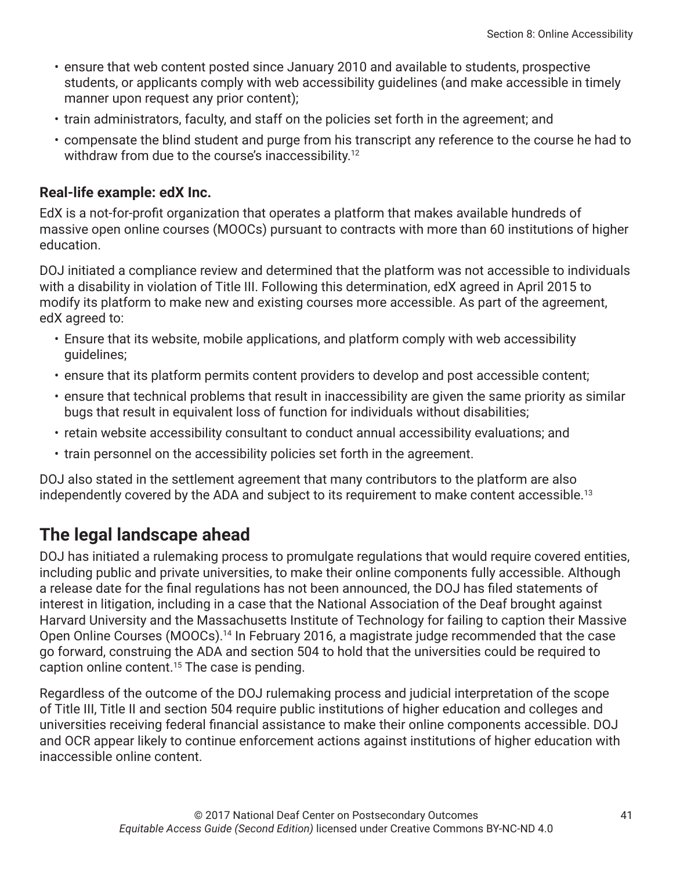- ensure that web content posted since January 2010 and available to students, prospective students, or applicants comply with web accessibility guidelines (and make accessible in timely manner upon request any prior content);
- train administrators, faculty, and staff on the policies set forth in the agreement; and
- compensate the blind student and purge from his transcript any reference to the course he had to withdraw from due to the course's inaccessibility.<sup>12</sup>

#### **Real-life example: edX Inc.**

EdX is a not-for-profit organization that operates a platform that makes available hundreds of massive open online courses (MOOCs) pursuant to contracts with more than 60 institutions of higher education.

DOJ initiated a compliance review and determined that the platform was not accessible to individuals with a disability in violation of Title III. Following this determination, edX agreed in April 2015 to modify its platform to make new and existing courses more accessible. As part of the agreement, edX agreed to:

- Ensure that its website, mobile applications, and platform comply with web accessibility guidelines;
- ensure that its platform permits content providers to develop and post accessible content;
- ensure that technical problems that result in inaccessibility are given the same priority as similar bugs that result in equivalent loss of function for individuals without disabilities;
- retain website accessibility consultant to conduct annual accessibility evaluations; and
- train personnel on the accessibility policies set forth in the agreement.

DOJ also stated in the settlement agreement that many contributors to the platform are also independently covered by the ADA and subject to its requirement to make content accessible.<sup>13</sup>

#### **The legal landscape ahead**

DOJ has initiated a rulemaking process to promulgate regulations that would require covered entities, including public and private universities, to make their online components fully accessible. Although a release date for the final regulations has not been announced, the DOJ has filed statements of interest in litigation, including in a case that the National Association of the Deaf brought against Harvard University and the Massachusetts Institute of Technology for failing to caption their Massive Open Online Courses (MOOCs).<sup>14</sup> In February 2016, a magistrate judge recommended that the case go forward, construing the ADA and section 504 to hold that the universities could be required to caption online content.<sup>15</sup> The case is pending.

Regardless of the outcome of the DOJ rulemaking process and judicial interpretation of the scope of Title III, Title II and section 504 require public institutions of higher education and colleges and universities receiving federal financial assistance to make their online components accessible. DOJ and OCR appear likely to continue enforcement actions against institutions of higher education with inaccessible online content.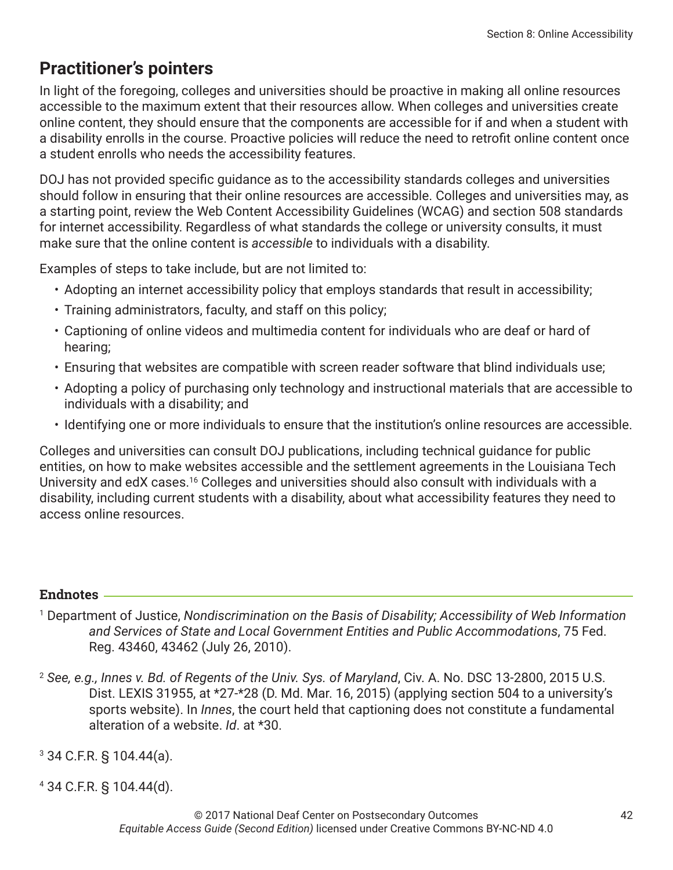#### **Practitioner's pointers**

In light of the foregoing, colleges and universities should be proactive in making all online resources accessible to the maximum extent that their resources allow. When colleges and universities create online content, they should ensure that the components are accessible for if and when a student with a disability enrolls in the course. Proactive policies will reduce the need to retrofit online content once a student enrolls who needs the accessibility features.

DOJ has not provided specific guidance as to the accessibility standards colleges and universities should follow in ensuring that their online resources are accessible. Colleges and universities may, as a starting point, review the Web Content Accessibility Guidelines (WCAG) and section 508 standards for internet accessibility. Regardless of what standards the college or university consults, it must make sure that the online content is *accessible* to individuals with a disability.

Examples of steps to take include, but are not limited to:

- Adopting an internet accessibility policy that employs standards that result in accessibility;
- Training administrators, faculty, and staff on this policy;
- Captioning of online videos and multimedia content for individuals who are deaf or hard of hearing;
- Ensuring that websites are compatible with screen reader software that blind individuals use;
- Adopting a policy of purchasing only technology and instructional materials that are accessible to individuals with a disability; and
- Identifying one or more individuals to ensure that the institution's online resources are accessible.

Colleges and universities can consult DOJ publications, including technical guidance for public entities, on how to make websites accessible and the settlement agreements in the Louisiana Tech University and edX cases.<sup>16</sup> Colleges and universities should also consult with individuals with a disability, including current students with a disability, about what accessibility features they need to access online resources.

#### **Endnotes**

1 Department of Justice, *Nondiscrimination on the Basis of Disability; Accessibility of Web Information and Services of State and Local Government Entities and Public Accommodations*, 75 Fed. Reg. 43460, 43462 (July 26, 2010).

<sup>2</sup> *See, e.g., Innes v. Bd. of Regents of the Univ. Sys. of Maryland*, Civ. A. No. DSC 13-2800, 2015 U.S. Dist. LEXIS 31955, at \*27-\*28 (D. Md. Mar. 16, 2015) (applying section 504 to a university's sports website). In *Innes*, the court held that captioning does not constitute a fundamental alteration of a website. *Id*. at \*30.

3 34 C.F.R. § 104.44(a).

4 34 C.F.R. § 104.44(d).